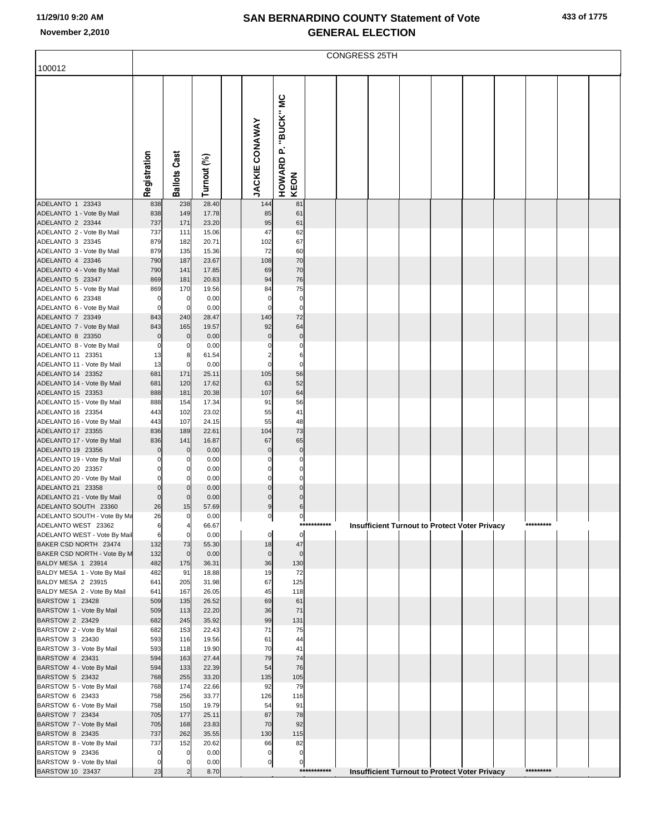|  |  | 433 of 1775 |
|--|--|-------------|
|--|--|-------------|

|                                                     | CONGRESS 25TH              |                     |                |  |                       |                                |             |  |                                                      |  |  |  |  |           |  |  |
|-----------------------------------------------------|----------------------------|---------------------|----------------|--|-----------------------|--------------------------------|-------------|--|------------------------------------------------------|--|--|--|--|-----------|--|--|
| 100012                                              |                            |                     |                |  |                       |                                |             |  |                                                      |  |  |  |  |           |  |  |
|                                                     | Registration               | <b>Ballots Cast</b> | Turnout (%)    |  | <b>JACKIE CONAWAY</b> | P. "BUCK" MC<br>HOWARD<br>KEON |             |  |                                                      |  |  |  |  |           |  |  |
|                                                     |                            |                     |                |  |                       |                                |             |  |                                                      |  |  |  |  |           |  |  |
| ADELANTO 1 23343<br>ADELANTO 1 - Vote By Mail       | 838<br>838                 | 238<br>149          | 28.40<br>17.78 |  | 144<br>85             | 81<br>61                       |             |  |                                                      |  |  |  |  |           |  |  |
| ADELANTO 2 23344                                    | 737                        | 171                 | 23.20          |  | 95                    | 61                             |             |  |                                                      |  |  |  |  |           |  |  |
| ADELANTO 2 - Vote By Mail                           | 737                        | 111                 | 15.06          |  | 47                    | 62                             |             |  |                                                      |  |  |  |  |           |  |  |
| ADELANTO 3 23345                                    | 879                        | 182                 | 20.71          |  | 102                   | 67                             |             |  |                                                      |  |  |  |  |           |  |  |
| ADELANTO 3 - Vote By Mail                           | 879                        | 135                 | 15.36          |  | 72                    | 60                             |             |  |                                                      |  |  |  |  |           |  |  |
| ADELANTO 4 23346                                    | 790                        | 187                 | 23.67          |  | 108                   | 70                             |             |  |                                                      |  |  |  |  |           |  |  |
| ADELANTO 4 - Vote By Mail<br>ADELANTO 5 23347       | 790<br>869                 | 141<br>181          | 17.85<br>20.83 |  | 69<br>94              | 70<br>76                       |             |  |                                                      |  |  |  |  |           |  |  |
| ADELANTO 5 - Vote By Mail                           | 869                        | 170                 | 19.56          |  | 84                    | 75                             |             |  |                                                      |  |  |  |  |           |  |  |
| ADELANTO 6 23348                                    | $\mathbf 0$                | $\mathbf 0$         | 0.00           |  | n                     | $\mathbf 0$                    |             |  |                                                      |  |  |  |  |           |  |  |
| ADELANTO 6 - Vote By Mail                           | $\mathbf 0$                | $\mathbf 0$         | 0.00           |  | n                     | $\mathbf 0$                    |             |  |                                                      |  |  |  |  |           |  |  |
| ADELANTO 7 23349                                    | 843                        | 240                 | 28.47          |  | 140                   | 72                             |             |  |                                                      |  |  |  |  |           |  |  |
| ADELANTO 7 - Vote By Mail                           | 843                        | 165                 | 19.57          |  | 92                    | 64<br>$\overline{0}$           |             |  |                                                      |  |  |  |  |           |  |  |
| ADELANTO 8 23350<br>ADELANTO 8 - Vote By Mail       | $\mathbf 0$<br>$\mathbf 0$ | $\mathbf 0$<br>0    | 0.00<br>0.00   |  | 0                     | $\mathbf 0$                    |             |  |                                                      |  |  |  |  |           |  |  |
| ADELANTO 11 23351                                   | 13                         | 8                   | 61.54          |  |                       | 6                              |             |  |                                                      |  |  |  |  |           |  |  |
| ADELANTO 11 - Vote By Mail                          | 13                         | 0                   | 0.00           |  | $\Omega$              | $\mathbf 0$                    |             |  |                                                      |  |  |  |  |           |  |  |
| ADELANTO 14 23352                                   | 681                        | 171                 | 25.11          |  | 105                   | 56                             |             |  |                                                      |  |  |  |  |           |  |  |
| ADELANTO 14 - Vote By Mail                          | 681                        | 120                 | 17.62          |  | 63                    | 52                             |             |  |                                                      |  |  |  |  |           |  |  |
| ADELANTO 15 23353                                   | 888                        | 181                 | 20.38          |  | 107                   | 64                             |             |  |                                                      |  |  |  |  |           |  |  |
| ADELANTO 15 - Vote By Mail<br>ADELANTO 16 23354     | 888<br>443                 | 154<br>102          | 17.34<br>23.02 |  | 91<br>55              | 56<br>41                       |             |  |                                                      |  |  |  |  |           |  |  |
| ADELANTO 16 - Vote By Mail                          | 443                        | 107                 | 24.15          |  | 55                    | 48                             |             |  |                                                      |  |  |  |  |           |  |  |
| ADELANTO 17 23355                                   | 836                        | 189                 | 22.61          |  | 104                   | 73                             |             |  |                                                      |  |  |  |  |           |  |  |
| ADELANTO 17 - Vote By Mail                          | 836                        | 141                 | 16.87          |  | 67                    | 65                             |             |  |                                                      |  |  |  |  |           |  |  |
| ADELANTO 19 23356                                   | $\mathbf 0$                | $\mathbf 0$         | 0.00           |  | $\Omega$              | $\overline{0}$                 |             |  |                                                      |  |  |  |  |           |  |  |
| ADELANTO 19 - Vote By Mail<br>ADELANTO 20 23357     | 0<br>0                     | 0<br>0              | 0.00<br>0.00   |  |                       | $\mathbf 0$<br>$\mathbf 0$     |             |  |                                                      |  |  |  |  |           |  |  |
| ADELANTO 20 - Vote By Mail                          | $\overline{0}$             | 0                   | 0.00           |  | $\Omega$              | $\mathbf{0}$                   |             |  |                                                      |  |  |  |  |           |  |  |
| ADELANTO 21 23358                                   | $\overline{0}$             | $\mathbf 0$         | 0.00           |  |                       | $\overline{0}$                 |             |  |                                                      |  |  |  |  |           |  |  |
| ADELANTO 21 - Vote By Mail                          | $\overline{0}$             | $\mathbf 0$         | 0.00           |  |                       | $\overline{0}$                 |             |  |                                                      |  |  |  |  |           |  |  |
| ADELANTO SOUTH 23360                                | 26                         | 15                  | 57.69          |  | 9                     | 6                              |             |  |                                                      |  |  |  |  |           |  |  |
| ADELANTO SOUTH - Vote By Ma                         | 26                         | $\mathbf 0$         | 0.00           |  | 0                     | $\mathbf{0}$                   | *********** |  |                                                      |  |  |  |  | ********* |  |  |
| ADELANTO WEST 23362<br>ADELANTO WEST - Vote By Mail | 6<br>6                     | 4<br>$\mathbf 0$    | 66.67<br>0.00  |  | 0                     | $\overline{0}$                 |             |  | Insufficient Turnout to Protect Voter Privacy        |  |  |  |  |           |  |  |
| BAKER CSD NORTH 23474                               | 132                        | 73                  | 55.30          |  | 18                    | 47                             |             |  |                                                      |  |  |  |  |           |  |  |
| BAKER CSD NORTH - Vote By M                         | 132                        | $\mathbf 0$         | 0.00           |  | $\mathbf 0$           | $\overline{0}$                 |             |  |                                                      |  |  |  |  |           |  |  |
| BALDY MESA 1 23914                                  | 482                        | 175                 | 36.31          |  | 36                    | 130                            |             |  |                                                      |  |  |  |  |           |  |  |
| BALDY MESA 1 - Vote By Mail                         | 482                        | 91                  | 18.88          |  | 19                    | 72                             |             |  |                                                      |  |  |  |  |           |  |  |
| BALDY MESA 2 23915<br>BALDY MESA 2 - Vote By Mail   | 641<br>641                 | 205<br>167          | 31.98<br>26.05 |  | 67<br>45              | 125<br>118                     |             |  |                                                      |  |  |  |  |           |  |  |
| BARSTOW 1 23428                                     | 509                        | 135                 | 26.52          |  | 69                    | 61                             |             |  |                                                      |  |  |  |  |           |  |  |
| BARSTOW 1 - Vote By Mail                            | 509                        | 113                 | 22.20          |  | 36                    | 71                             |             |  |                                                      |  |  |  |  |           |  |  |
| BARSTOW 2 23429                                     | 682                        | 245                 | 35.92          |  | 99                    | 131                            |             |  |                                                      |  |  |  |  |           |  |  |
| BARSTOW 2 - Vote By Mail                            | 682                        | 153                 | 22.43          |  | 71                    | 75                             |             |  |                                                      |  |  |  |  |           |  |  |
| BARSTOW 3 23430<br>BARSTOW 3 - Vote By Mail         | 593<br>593                 | 116<br>118          | 19.56<br>19.90 |  | 61<br>70              | 44<br>41                       |             |  |                                                      |  |  |  |  |           |  |  |
| BARSTOW 4 23431                                     | 594                        | 163                 | 27.44          |  | 79                    | 74                             |             |  |                                                      |  |  |  |  |           |  |  |
| BARSTOW 4 - Vote By Mail                            | 594                        | 133                 | 22.39          |  | 54                    | 76                             |             |  |                                                      |  |  |  |  |           |  |  |
| BARSTOW 5 23432                                     | 768                        | 255                 | 33.20          |  | 135                   | 105                            |             |  |                                                      |  |  |  |  |           |  |  |
| BARSTOW 5 - Vote By Mail                            | 768                        | 174                 | 22.66          |  | 92                    | 79                             |             |  |                                                      |  |  |  |  |           |  |  |
| BARSTOW 6 23433                                     | 758<br>758                 | 256<br>150          | 33.77<br>19.79 |  | 126<br>54             | 116<br>91                      |             |  |                                                      |  |  |  |  |           |  |  |
| BARSTOW 6 - Vote By Mail<br>BARSTOW 7 23434         | 705                        | 177                 | 25.11          |  | 87                    | 78                             |             |  |                                                      |  |  |  |  |           |  |  |
| BARSTOW 7 - Vote By Mail                            | 705                        | 168                 | 23.83          |  | 70                    | 92                             |             |  |                                                      |  |  |  |  |           |  |  |
| BARSTOW 8 23435                                     | 737                        | 262                 | 35.55          |  | 130                   | 115                            |             |  |                                                      |  |  |  |  |           |  |  |
| BARSTOW 8 - Vote By Mail                            | 737                        | 152                 | 20.62          |  | 66                    | 82                             |             |  |                                                      |  |  |  |  |           |  |  |
| BARSTOW 9 23436                                     | $\mathbf 0$                | 0                   | 0.00           |  |                       | $\overline{0}$                 |             |  |                                                      |  |  |  |  |           |  |  |
| BARSTOW 9 - Vote By Mail<br>BARSTOW 10 23437        | $\mathbf 0$<br>23          | 0<br>$\overline{c}$ | 0.00<br>8.70   |  | 0                     | $\overline{0}$                 | *********** |  | <b>Insufficient Turnout to Protect Voter Privacy</b> |  |  |  |  | ********* |  |  |
|                                                     |                            |                     |                |  |                       |                                |             |  |                                                      |  |  |  |  |           |  |  |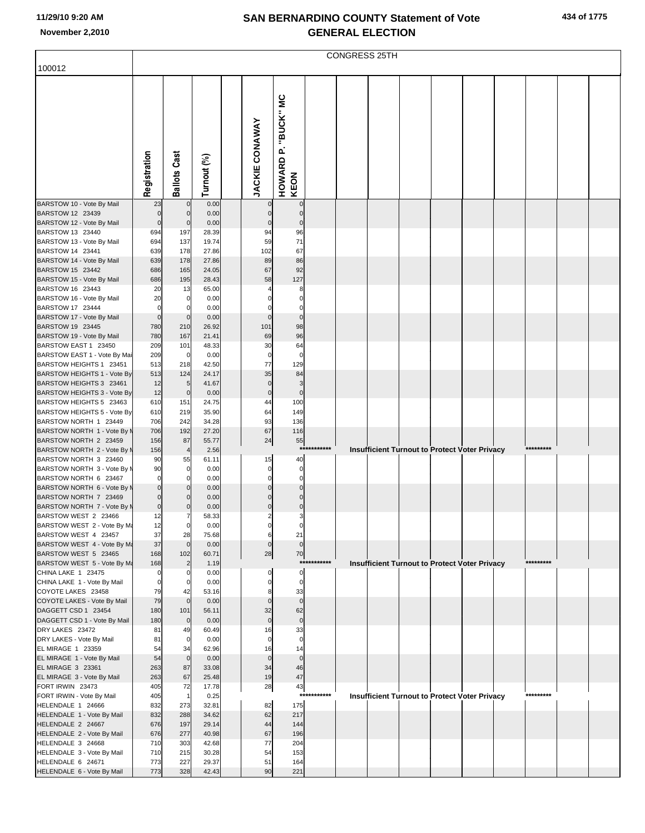|  |  | 434 of 1775 |
|--|--|-------------|
|--|--|-------------|

|                                                        | CONGRESS 25TH                    |                      |                |  |                               |                             |          |  |                                                      |  |  |  |  |           |  |  |
|--------------------------------------------------------|----------------------------------|----------------------|----------------|--|-------------------------------|-----------------------------|----------|--|------------------------------------------------------|--|--|--|--|-----------|--|--|
| 100012                                                 |                                  |                      |                |  |                               |                             |          |  |                                                      |  |  |  |  |           |  |  |
|                                                        |                                  |                      |                |  |                               |                             |          |  |                                                      |  |  |  |  |           |  |  |
|                                                        |                                  |                      |                |  |                               |                             |          |  |                                                      |  |  |  |  |           |  |  |
|                                                        |                                  |                      |                |  |                               |                             |          |  |                                                      |  |  |  |  |           |  |  |
|                                                        |                                  |                      |                |  |                               |                             |          |  |                                                      |  |  |  |  |           |  |  |
|                                                        |                                  |                      |                |  |                               |                             |          |  |                                                      |  |  |  |  |           |  |  |
|                                                        |                                  |                      |                |  |                               |                             |          |  |                                                      |  |  |  |  |           |  |  |
|                                                        |                                  |                      |                |  |                               |                             |          |  |                                                      |  |  |  |  |           |  |  |
|                                                        |                                  |                      |                |  |                               |                             |          |  |                                                      |  |  |  |  |           |  |  |
|                                                        |                                  |                      |                |  |                               |                             |          |  |                                                      |  |  |  |  |           |  |  |
|                                                        | Registration                     | <b>Ballots Cast</b>  | Turnout (%)    |  | <b>JACKIE CONAWAY</b>         | HOWARD P. "BUCK" MC<br>KEON |          |  |                                                      |  |  |  |  |           |  |  |
| BARSTOW 10 - Vote By Mail                              | 23                               | $\mathbf 0$          | 0.00           |  |                               |                             |          |  |                                                      |  |  |  |  |           |  |  |
| BARSTOW 12 23439                                       | $\mathbf{0}$                     | $\mathbf 0$          | 0.00           |  | $\overline{0}$                | $\pmb{0}$<br>$\bf 0$        |          |  |                                                      |  |  |  |  |           |  |  |
| BARSTOW 12 - Vote By Mail                              | $\overline{0}$                   | $\mathbf 0$          | 0.00           |  | $\pmb{0}$                     | $\pmb{0}$                   |          |  |                                                      |  |  |  |  |           |  |  |
| BARSTOW 13 23440                                       | 694                              | 197                  | 28.39          |  | 94                            | 96                          |          |  |                                                      |  |  |  |  |           |  |  |
| BARSTOW 13 - Vote By Mail                              | 694                              | 137                  | 19.74          |  | 59                            | 71                          |          |  |                                                      |  |  |  |  |           |  |  |
| BARSTOW 14 23441<br>BARSTOW 14 - Vote By Mail          | 639<br>639                       | 178<br>178           | 27.86<br>27.86 |  | 102<br>89                     | 67<br>86                    |          |  |                                                      |  |  |  |  |           |  |  |
| BARSTOW 15 23442                                       | 686                              | 165                  | 24.05          |  | 67                            | 92                          |          |  |                                                      |  |  |  |  |           |  |  |
| BARSTOW 15 - Vote By Mail                              | 686                              | 195                  | 28.43          |  | 58                            | 127                         |          |  |                                                      |  |  |  |  |           |  |  |
| BARSTOW 16 23443                                       | 20                               | 13                   | 65.00          |  | 4                             | 8                           |          |  |                                                      |  |  |  |  |           |  |  |
| BARSTOW 16 - Vote By Mail<br>BARSTOW 17 23444          | 20<br>$\mathbf 0$                | 0<br>0               | 0.00<br>0.00   |  | $\mathbf 0$<br>$\mathbf 0$    | $\mathbf 0$<br>$\bf{0}$     |          |  |                                                      |  |  |  |  |           |  |  |
| BARSTOW 17 - Vote By Mail                              | $\overline{0}$                   | $\mathbf 0$          | 0.00           |  | $\mathbf 0$                   | $\mathbf 0$                 |          |  |                                                      |  |  |  |  |           |  |  |
| BARSTOW 19 23445                                       | 780                              | 210                  | 26.92          |  | 101                           | 98                          |          |  |                                                      |  |  |  |  |           |  |  |
| BARSTOW 19 - Vote By Mail                              | 780                              | 167                  | 21.41          |  | 69                            | 96                          |          |  |                                                      |  |  |  |  |           |  |  |
| BARSTOW EAST 1 23450<br>BARSTOW EAST 1 - Vote By Mai   | 209<br>209                       | 101<br>0             | 48.33<br>0.00  |  | 30<br>$\mathbf 0$             | 64<br>$\mathbf 0$           |          |  |                                                      |  |  |  |  |           |  |  |
| BARSTOW HEIGHTS 1 23451                                | 513                              | 218                  | 42.50          |  | 77                            | 129                         |          |  |                                                      |  |  |  |  |           |  |  |
| BARSTOW HEIGHTS 1 - Vote By                            | 513                              | 124                  | 24.17          |  | 35                            | 84                          |          |  |                                                      |  |  |  |  |           |  |  |
| BARSTOW HEIGHTS 3 23461                                | 12                               | 5                    | 41.67          |  | $\overline{0}$                | 3                           |          |  |                                                      |  |  |  |  |           |  |  |
| BARSTOW HEIGHTS 3 - Vote By<br>BARSTOW HEIGHTS 5 23463 | 12<br>610                        | $\mathbf 0$<br>151   | 0.00<br>24.75  |  | $\overline{0}$<br>44          | $\pmb{0}$<br>100            |          |  |                                                      |  |  |  |  |           |  |  |
| BARSTOW HEIGHTS 5 - Vote By                            | 610                              | 219                  | 35.90          |  | 64                            | 149                         |          |  |                                                      |  |  |  |  |           |  |  |
| BARSTOW NORTH 1 23449                                  | 706                              | 242                  | 34.28          |  | 93                            | 136                         |          |  |                                                      |  |  |  |  |           |  |  |
| BARSTOW NORTH 1 - Vote By M                            | 706                              | 192                  | 27.20          |  | 67                            | 116                         |          |  |                                                      |  |  |  |  |           |  |  |
| BARSTOW NORTH 2 23459<br>BARSTOW NORTH 2 - Vote By M   | 156<br>156                       | 87<br>$\overline{4}$ | 55.77<br>2.56  |  | 24                            | 55<br>***                   | *******  |  | Insufficient Turnout to Protect Voter Privacy        |  |  |  |  | ********* |  |  |
| BARSTOW NORTH 3 23460                                  | 90                               | 55                   | 61.11          |  | 15                            | 40                          |          |  |                                                      |  |  |  |  |           |  |  |
| BARSTOW NORTH 3 - Vote By M                            | 90                               | 0                    | 0.00           |  | $\overline{0}$                | 0                           |          |  |                                                      |  |  |  |  |           |  |  |
| BARSTOW NORTH 6 23467                                  | $\mathbf{0}$                     | 0                    | 0.00           |  | $\mathbf{0}$                  | $\mathbf 0$                 |          |  |                                                      |  |  |  |  |           |  |  |
| BARSTOW NORTH 6 - Vote By M<br>BARSTOW NORTH 7 23469   | $\overline{0}$<br>$\overline{0}$ | $\Omega$<br>$\Omega$ | 0.00<br>0.00   |  | $\mathbf 0$<br>$\pmb{0}$      | $\mathbf 0$<br>$\bf 0$      |          |  |                                                      |  |  |  |  |           |  |  |
| BARSTOW NORTH 7 - Vote By M                            | $\overline{0}$                   | $\Omega$             | 0.00           |  | $\mathbf 0$                   | $\pmb{0}$                   |          |  |                                                      |  |  |  |  |           |  |  |
| BARSTOW WEST 2 23466                                   | 12                               | 7                    | 58.33          |  | $\overline{2}$                | 3                           |          |  |                                                      |  |  |  |  |           |  |  |
| BARSTOW WEST 2 - Vote By Ma                            | 12                               | $\overline{0}$       | 0.00           |  | $\overline{0}$                | 0                           |          |  |                                                      |  |  |  |  |           |  |  |
| BARSTOW WEST 4 23457<br>BARSTOW WEST 4 - Vote By Ma    | 37<br>37                         | 28<br>$\overline{0}$ | 75.68<br>0.00  |  | 6<br>$\overline{0}$           | 21<br>$\mathbf 0$           |          |  |                                                      |  |  |  |  |           |  |  |
| BARSTOW WEST 5 23465                                   | 168                              | 102                  | 60.71          |  | 28                            | 70                          |          |  |                                                      |  |  |  |  |           |  |  |
| BARSTOW WEST 5 - Vote By Ma                            | 168                              | $\overline{2}$       | 1.19           |  |                               | ***:                        | ******** |  | Insufficient Turnout to Protect Voter Privacy        |  |  |  |  | ********* |  |  |
| CHINA LAKE 1 23475                                     | 0                                | 0                    | 0.00           |  | $\mathbf 0$                   | 0                           |          |  |                                                      |  |  |  |  |           |  |  |
| CHINA LAKE 1 - Vote By Mail<br>COYOTE LAKES 23458      | $\overline{0}$<br>79             | 0<br>42              | 0.00<br>53.16  |  | $\mathbf 0$<br>8 <sup>1</sup> | $\mathbf 0$<br>33           |          |  |                                                      |  |  |  |  |           |  |  |
| COYOTE LAKES - Vote By Mail                            | 79                               | $\mathbf 0$          | 0.00           |  | $\mathbf 0$                   | $\mathbf 0$                 |          |  |                                                      |  |  |  |  |           |  |  |
| DAGGETT CSD 1 23454                                    | 180                              | 101                  | 56.11          |  | 32                            | 62                          |          |  |                                                      |  |  |  |  |           |  |  |
| DAGGETT CSD 1 - Vote By Mail                           | 180                              | $\overline{0}$       | 0.00           |  | $\overline{0}$                | $\pmb{0}$                   |          |  |                                                      |  |  |  |  |           |  |  |
| DRY LAKES 23472<br>DRY LAKES - Vote By Mail            | 81<br>81                         | 49<br>$\overline{0}$ | 60.49<br>0.00  |  | 16<br>$\mathbf 0$             | 33<br>$\bf{0}$              |          |  |                                                      |  |  |  |  |           |  |  |
| EL MIRAGE 1 23359                                      | 54                               | 34                   | 62.96          |  | 16                            | 14                          |          |  |                                                      |  |  |  |  |           |  |  |
| EL MIRAGE 1 - Vote By Mail                             | 54                               | $\overline{0}$       | 0.00           |  | $\mathbf 0$                   | $\mathbf 0$                 |          |  |                                                      |  |  |  |  |           |  |  |
| EL MIRAGE 3 23361                                      | 263                              | 87                   | 33.08          |  | 34<br>19                      | 46                          |          |  |                                                      |  |  |  |  |           |  |  |
| EL MIRAGE 3 - Vote By Mail<br>FORT IRWIN 23473         | 263<br>405                       | 67<br>72             | 25.48<br>17.78 |  | 28                            | 47<br>43                    |          |  |                                                      |  |  |  |  |           |  |  |
| FORT IRWIN - Vote By Mail                              | 405                              | $\overline{1}$       | 0.25           |  |                               | ***                         | *******  |  | <b>Insufficient Turnout to Protect Voter Privacy</b> |  |  |  |  | ********* |  |  |
| HELENDALE 1 24666                                      | 832                              | 273                  | 32.81          |  | 82                            | 175                         |          |  |                                                      |  |  |  |  |           |  |  |
| HELENDALE 1 - Vote By Mail<br>HELENDALE 2 24667        | 832<br>676                       | 288<br>197           | 34.62<br>29.14 |  | 62<br>44                      | 217<br>144                  |          |  |                                                      |  |  |  |  |           |  |  |
| HELENDALE 2 - Vote By Mail                             | 676                              | 277                  | 40.98          |  | 67                            | 196                         |          |  |                                                      |  |  |  |  |           |  |  |
| HELENDALE 3 24668                                      | 710                              | 303                  | 42.68          |  | 77                            | 204                         |          |  |                                                      |  |  |  |  |           |  |  |
| HELENDALE 3 - Vote By Mail                             | 710                              | 215                  | 30.28          |  | 54                            | 153                         |          |  |                                                      |  |  |  |  |           |  |  |
| HELENDALE 6 24671<br>HELENDALE 6 - Vote By Mail        | 773<br>773                       | 227<br>328           | 29.37<br>42.43 |  | 51<br>90                      | 164<br>221                  |          |  |                                                      |  |  |  |  |           |  |  |
|                                                        |                                  |                      |                |  |                               |                             |          |  |                                                      |  |  |  |  |           |  |  |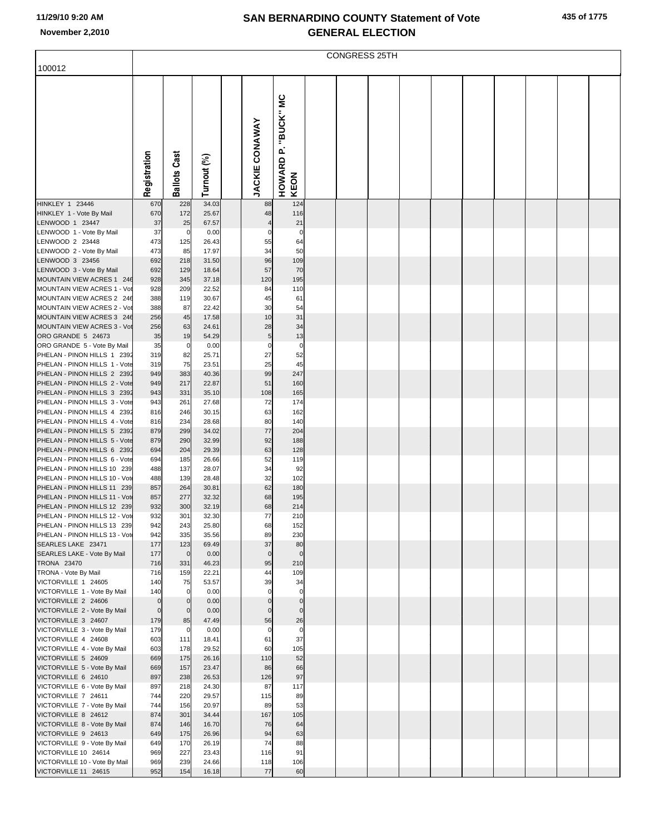|  |  | 435 of 1775 |
|--|--|-------------|
|--|--|-------------|

|                                                               | <b>CONGRESS 25TH</b> |                      |                |  |                       |                                    |  |  |  |  |  |  |  |  |  |  |
|---------------------------------------------------------------|----------------------|----------------------|----------------|--|-----------------------|------------------------------------|--|--|--|--|--|--|--|--|--|--|
| 100012                                                        |                      |                      |                |  |                       |                                    |  |  |  |  |  |  |  |  |  |  |
|                                                               | Registration         | <b>Ballots Cast</b>  | Turnout (%)    |  | <b>JACKIE CONAWAY</b> | "BUCK" MC<br>۵Ï.<br>HOWARD<br>KEON |  |  |  |  |  |  |  |  |  |  |
| <b>HINKLEY 1 23446</b>                                        | 670                  | 228                  | 34.03          |  | 88                    | 124                                |  |  |  |  |  |  |  |  |  |  |
| HINKLEY 1 - Vote By Mail<br>LENWOOD 1 23447                   | 670<br>37            | 172<br>25            | 25.67<br>67.57 |  | 48                    | 116<br>21                          |  |  |  |  |  |  |  |  |  |  |
| LENWOOD 1 - Vote By Mail                                      | 37                   | $\mathbf 0$          | 0.00           |  | 0                     | $\Omega$                           |  |  |  |  |  |  |  |  |  |  |
| LENWOOD 2 23448                                               | 473                  | 125                  | 26.43          |  | 55                    | 64                                 |  |  |  |  |  |  |  |  |  |  |
| LENWOOD 2 - Vote By Mail<br>LENWOOD 3 23456                   | 473                  | 85                   | 17.97          |  | 34                    | 50                                 |  |  |  |  |  |  |  |  |  |  |
| LENWOOD 3 - Vote By Mail                                      | 692<br>692           | 218<br>129           | 31.50<br>18.64 |  | 96<br>57              | 109<br>70                          |  |  |  |  |  |  |  |  |  |  |
| MOUNTAIN VIEW ACRES 1 246                                     | 928                  | 345                  | 37.18          |  | 120                   | 195                                |  |  |  |  |  |  |  |  |  |  |
| MOUNTAIN VIEW ACRES 1 - Vot                                   | 928                  | 209                  | 22.52          |  | 84                    | 110                                |  |  |  |  |  |  |  |  |  |  |
| MOUNTAIN VIEW ACRES 2 246                                     | 388                  | 119                  | 30.67          |  | 45                    | 61                                 |  |  |  |  |  |  |  |  |  |  |
| MOUNTAIN VIEW ACRES 2 - Vot<br>MOUNTAIN VIEW ACRES 3 246      | 388<br>256           | 87<br>45             | 22.42<br>17.58 |  | 30<br>10              | 54<br>31                           |  |  |  |  |  |  |  |  |  |  |
| MOUNTAIN VIEW ACRES 3 - Vot                                   | 256                  | 63                   | 24.61          |  | 28                    | 34                                 |  |  |  |  |  |  |  |  |  |  |
| ORO GRANDE 5 24673                                            | 35                   | 19                   | 54.29          |  | 5                     | 13                                 |  |  |  |  |  |  |  |  |  |  |
| ORO GRANDE 5 - Vote By Mail                                   | 35                   | $\mathbf 0$          | 0.00           |  | $\Omega$              | $\Omega$                           |  |  |  |  |  |  |  |  |  |  |
| PHELAN - PINON HILLS 1 2392<br>PHELAN - PINON HILLS 1 - Vote  | 319<br>319           | 82<br>75             | 25.71<br>23.51 |  | 27<br>25              | 52<br>45                           |  |  |  |  |  |  |  |  |  |  |
| PHELAN - PINON HILLS 2 2392                                   | 949                  | 383                  | 40.36          |  | 99                    | 247                                |  |  |  |  |  |  |  |  |  |  |
| PHELAN - PINON HILLS 2 - Vote                                 | 949                  | 217                  | 22.87          |  | 51                    | 160                                |  |  |  |  |  |  |  |  |  |  |
| PHELAN - PINON HILLS 3 2392                                   | 943                  | 331                  | 35.10          |  | 108                   | 165                                |  |  |  |  |  |  |  |  |  |  |
| PHELAN - PINON HILLS 3 - Vote<br>PHELAN - PINON HILLS 4 2392  | 943<br>816           | 261<br>246           | 27.68<br>30.15 |  | 72<br>63              | 174<br>162                         |  |  |  |  |  |  |  |  |  |  |
| PHELAN - PINON HILLS 4 - Vote                                 | 816                  | 234                  | 28.68          |  | 80                    | 140                                |  |  |  |  |  |  |  |  |  |  |
| PHELAN - PINON HILLS 5 2392                                   | 879                  | 299                  | 34.02          |  | 77                    | 204                                |  |  |  |  |  |  |  |  |  |  |
| PHELAN - PINON HILLS 5 - Vote                                 | 879                  | 290                  | 32.99          |  | 92                    | 188                                |  |  |  |  |  |  |  |  |  |  |
| PHELAN - PINON HILLS 6 2392<br>PHELAN - PINON HILLS 6 - Vote  | 694<br>694           | 204<br>185           | 29.39<br>26.66 |  | 63<br>52              | 128<br>119                         |  |  |  |  |  |  |  |  |  |  |
| PHELAN - PINON HILLS 10 239                                   | 488                  | 137                  | 28.07          |  | 34                    | 92                                 |  |  |  |  |  |  |  |  |  |  |
| PHELAN - PINON HILLS 10 - Vot                                 | 488                  | 139                  | 28.48          |  | 32                    | 102                                |  |  |  |  |  |  |  |  |  |  |
| PHELAN - PINON HILLS 11 239                                   | 857                  | 264                  | 30.81          |  | 62                    | 180                                |  |  |  |  |  |  |  |  |  |  |
| PHELAN - PINON HILLS 11 - Vote<br>PHELAN - PINON HILLS 12 239 | 857<br>932           | 277<br>300           | 32.32<br>32.19 |  | 68<br>68              | 195<br>214                         |  |  |  |  |  |  |  |  |  |  |
| PHELAN - PINON HILLS 12 - Vot                                 | 932                  | 301                  | 32.30          |  | 77                    | 210                                |  |  |  |  |  |  |  |  |  |  |
| PHELAN - PINON HILLS 13 239                                   | 942                  | 243                  | 25.80          |  | 68                    | 152                                |  |  |  |  |  |  |  |  |  |  |
| PHELAN - PINON HILLS 13 - Vote<br>SEARLES LAKE 23471          | 942<br>177           | 335<br>123           | 35.56<br>69.49 |  | 89<br>37              | 230<br>80                          |  |  |  |  |  |  |  |  |  |  |
| SEARLES LAKE - Vote By Mail                                   | 177                  | $\mathbf 0$          | 0.00           |  | $\mathbf 0$           | $\mathbf{0}$                       |  |  |  |  |  |  |  |  |  |  |
| <b>TRONA 23470</b>                                            | 716                  | 331                  | 46.23          |  | 95                    | 210                                |  |  |  |  |  |  |  |  |  |  |
| TRONA - Vote By Mail                                          | 716                  | 159                  | 22.21          |  | 44                    | 109                                |  |  |  |  |  |  |  |  |  |  |
| VICTORVILLE 1 24605<br>VICTORVILLE 1 - Vote By Mail           | 140<br>140           | 75<br>$\overline{0}$ | 53.57<br>0.00  |  | 39<br>$\mathbf 0$     | 34<br>$\Omega$                     |  |  |  |  |  |  |  |  |  |  |
| VICTORVILLE 2 24606                                           | $\overline{0}$       | $\mathbf 0$          | 0.00           |  | $\Omega$              | $\mathbf 0$                        |  |  |  |  |  |  |  |  |  |  |
| VICTORVILLE 2 - Vote By Mail                                  | $\overline{0}$       | $\overline{0}$       | 0.00           |  | $\Omega$              | $\Omega$                           |  |  |  |  |  |  |  |  |  |  |
| VICTORVILLE 3 24607                                           | 179                  | 85                   | 47.49          |  | 56                    | 26                                 |  |  |  |  |  |  |  |  |  |  |
| VICTORVILLE 3 - Vote By Mail<br>VICTORVILLE 4 24608           | 179<br>603           | $\mathbf 0$<br>111   | 0.00<br>18.41  |  | $\mathbf 0$<br>61     | $\mathbf 0$<br>37                  |  |  |  |  |  |  |  |  |  |  |
| VICTORVILLE 4 - Vote By Mail                                  | 603                  | 178                  | 29.52          |  | 60                    | 105                                |  |  |  |  |  |  |  |  |  |  |
| VICTORVILLE 5 24609                                           | 669                  | 175                  | 26.16          |  | 110                   | 52                                 |  |  |  |  |  |  |  |  |  |  |
| VICTORVILLE 5 - Vote By Mail                                  | 669                  | 157                  | 23.47          |  | 86                    | 66                                 |  |  |  |  |  |  |  |  |  |  |
| VICTORVILLE 6 24610<br>VICTORVILLE 6 - Vote By Mail           | 897<br>897           | 238<br>218           | 26.53<br>24.30 |  | 126<br>87             | 97<br>117                          |  |  |  |  |  |  |  |  |  |  |
| VICTORVILLE 7 24611                                           | 744                  | 220                  | 29.57          |  | 115                   | 89                                 |  |  |  |  |  |  |  |  |  |  |
| VICTORVILLE 7 - Vote By Mail                                  | 744                  | 156                  | 20.97          |  | 89                    | 53                                 |  |  |  |  |  |  |  |  |  |  |
| VICTORVILLE 8 24612                                           | 874                  | 301                  | 34.44          |  | 167                   | 105                                |  |  |  |  |  |  |  |  |  |  |
| VICTORVILLE 8 - Vote By Mail<br>VICTORVILLE 9 24613           | 874<br>649           | 146<br>175           | 16.70<br>26.96 |  | 76<br>94              | 64<br>63                           |  |  |  |  |  |  |  |  |  |  |
| VICTORVILLE 9 - Vote By Mail                                  | 649                  | 170                  | 26.19          |  | 74                    | 88                                 |  |  |  |  |  |  |  |  |  |  |
| VICTORVILLE 10 24614                                          | 969                  | 227                  | 23.43          |  | 116                   | 91                                 |  |  |  |  |  |  |  |  |  |  |
| VICTORVILLE 10 - Vote By Mail                                 | 969                  | 239                  | 24.66          |  | 118                   | 106                                |  |  |  |  |  |  |  |  |  |  |
| VICTORVILLE 11 24615                                          | 952                  | 154                  | 16.18          |  | 77                    | 60                                 |  |  |  |  |  |  |  |  |  |  |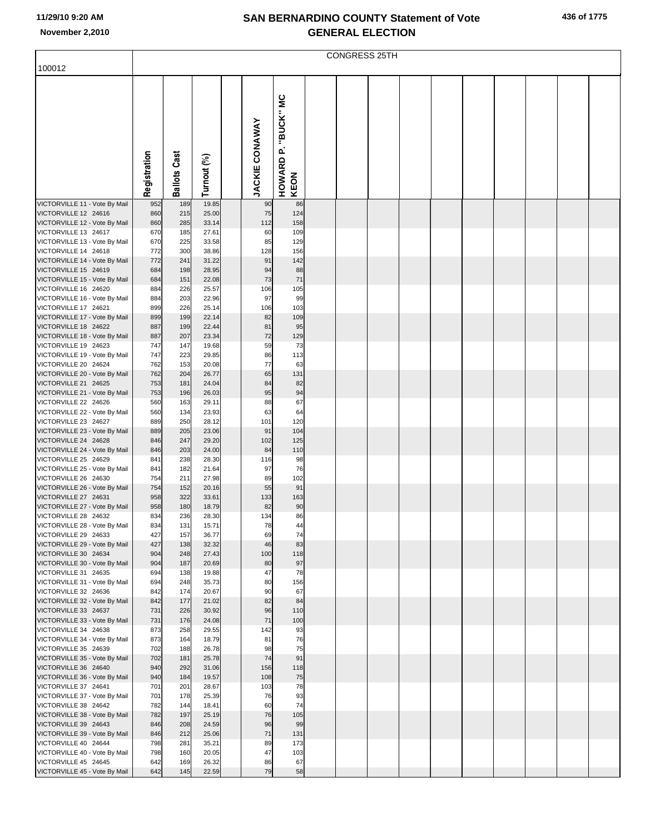|  |  | 436 of 1775 |  |
|--|--|-------------|--|
|--|--|-------------|--|

|                                                       | <b>CONGRESS 25TH</b> |                     |                |  |                       |                                |  |  |  |  |  |  |  |  |  |  |
|-------------------------------------------------------|----------------------|---------------------|----------------|--|-----------------------|--------------------------------|--|--|--|--|--|--|--|--|--|--|
| 100012                                                |                      |                     |                |  |                       |                                |  |  |  |  |  |  |  |  |  |  |
|                                                       | Registration         | <b>Ballots Cast</b> | Turnout (%)    |  | <b>JACKIE CONAWAY</b> | P. "BUCK" MC<br>HOWARD<br>KEON |  |  |  |  |  |  |  |  |  |  |
| VICTORVILLE 11 - Vote By Mail                         | 952                  | 189                 | 19.85          |  | 90                    | 86                             |  |  |  |  |  |  |  |  |  |  |
| VICTORVILLE 12 24616<br>VICTORVILLE 12 - Vote By Mail | 860<br>860           | 215<br>285          | 25.00<br>33.14 |  | 75<br>112             | 124<br>158                     |  |  |  |  |  |  |  |  |  |  |
| VICTORVILLE 13 24617                                  | 670                  | 185                 | 27.61          |  | 60                    | 109                            |  |  |  |  |  |  |  |  |  |  |
| VICTORVILLE 13 - Vote By Mail                         | 670                  | 225                 | 33.58          |  | 85                    | 129                            |  |  |  |  |  |  |  |  |  |  |
| VICTORVILLE 14 24618                                  | 772                  | 300                 | 38.86          |  | 128                   | 156                            |  |  |  |  |  |  |  |  |  |  |
| VICTORVILLE 14 - Vote By Mail<br>VICTORVILLE 15 24619 | 772<br>684           | 241<br>198          | 31.22<br>28.95 |  | 91<br>94              | 142<br>88                      |  |  |  |  |  |  |  |  |  |  |
| VICTORVILLE 15 - Vote By Mail                         | 684                  | 151                 | 22.08          |  | 73                    | 71                             |  |  |  |  |  |  |  |  |  |  |
| VICTORVILLE 16 24620                                  | 884                  | 226                 | 25.57          |  | 106                   | 105                            |  |  |  |  |  |  |  |  |  |  |
| VICTORVILLE 16 - Vote By Mail                         | 884                  | 203                 | 22.96          |  | 97                    | 99                             |  |  |  |  |  |  |  |  |  |  |
| VICTORVILLE 17 24621                                  | 899                  | 226                 | 25.14          |  | 106                   | 103                            |  |  |  |  |  |  |  |  |  |  |
| VICTORVILLE 17 - Vote By Mail<br>VICTORVILLE 18 24622 | 899<br>887           | 199<br>199          | 22.14<br>22.44 |  | 82<br>81              | 109<br>95                      |  |  |  |  |  |  |  |  |  |  |
| VICTORVILLE 18 - Vote By Mail                         | 887                  | 207                 | 23.34          |  | 72                    | 129                            |  |  |  |  |  |  |  |  |  |  |
| VICTORVILLE 19 24623                                  | 747                  | 147                 | 19.68          |  | 59                    | 73                             |  |  |  |  |  |  |  |  |  |  |
| VICTORVILLE 19 - Vote By Mail                         | 747                  | 223                 | 29.85          |  | 86                    | 113                            |  |  |  |  |  |  |  |  |  |  |
| VICTORVILLE 20 24624                                  | 762                  | 153                 | 20.08          |  | 77                    | 63                             |  |  |  |  |  |  |  |  |  |  |
| VICTORVILLE 20 - Vote By Mail<br>VICTORVILLE 21 24625 | 762<br>753           | 204<br>181          | 26.77<br>24.04 |  | 65<br>84              | 131<br>82                      |  |  |  |  |  |  |  |  |  |  |
| VICTORVILLE 21 - Vote By Mail                         | 753                  | 196                 | 26.03          |  | 95                    | 94                             |  |  |  |  |  |  |  |  |  |  |
| VICTORVILLE 22 24626                                  | 560                  | 163                 | 29.11          |  | 88                    | 67                             |  |  |  |  |  |  |  |  |  |  |
| VICTORVILLE 22 - Vote By Mail                         | 560                  | 134                 | 23.93          |  | 63                    | 64                             |  |  |  |  |  |  |  |  |  |  |
| VICTORVILLE 23 24627                                  | 889                  | 250                 | 28.12          |  | 101<br>91             | 120                            |  |  |  |  |  |  |  |  |  |  |
| VICTORVILLE 23 - Vote By Mail<br>VICTORVILLE 24 24628 | 889<br>846           | 205<br>247          | 23.06<br>29.20 |  | 102                   | 104<br>125                     |  |  |  |  |  |  |  |  |  |  |
| VICTORVILLE 24 - Vote By Mail                         | 846                  | 203                 | 24.00          |  | 84                    | 110                            |  |  |  |  |  |  |  |  |  |  |
| VICTORVILLE 25 24629                                  | 841                  | 238                 | 28.30          |  | 116                   | 98                             |  |  |  |  |  |  |  |  |  |  |
| VICTORVILLE 25 - Vote By Mail                         | 841                  | 182                 | 21.64          |  | 97                    | 76                             |  |  |  |  |  |  |  |  |  |  |
| VICTORVILLE 26 24630<br>VICTORVILLE 26 - Vote By Mail | 754<br>754           | 211<br>152          | 27.98<br>20.16 |  | 89<br>55              | 102<br>91                      |  |  |  |  |  |  |  |  |  |  |
| VICTORVILLE 27 24631                                  | 958                  | 322                 | 33.61          |  | 133                   | 163                            |  |  |  |  |  |  |  |  |  |  |
| VICTORVILLE 27 - Vote By Mail                         | 958                  | 180                 | 18.79          |  | 82                    | 90                             |  |  |  |  |  |  |  |  |  |  |
| VICTORVILLE 28 24632                                  | 834                  | 236                 | 28.30          |  | 134                   | 86                             |  |  |  |  |  |  |  |  |  |  |
| VICTORVILLE 28 - Vote By Mail<br>VICTORVILLE 29 24633 | 834<br>427           | 131<br>157          | 15.71<br>36.77 |  | 78<br>69              | 44<br>74                       |  |  |  |  |  |  |  |  |  |  |
| VICTORVILLE 29 - Vote By Mail                         | 427                  | 138                 | 32.32          |  | 46                    | 83                             |  |  |  |  |  |  |  |  |  |  |
| VICTORVILLE 30 24634                                  | 904                  | 248                 | 27.43          |  | 100                   | 118                            |  |  |  |  |  |  |  |  |  |  |
| VICTORVILLE 30 - Vote By Mail                         | 904                  | 187                 | 20.69          |  | 80                    | 97                             |  |  |  |  |  |  |  |  |  |  |
| VICTORVILLE 31 24635                                  | 694                  | 138                 | 19.88          |  | 47                    | 78                             |  |  |  |  |  |  |  |  |  |  |
| VICTORVILLE 31 - Vote By Mail<br>VICTORVILLE 32 24636 | 694<br>842           | 248<br>174          | 35.73<br>20.67 |  | 80<br>90              | 156<br>67                      |  |  |  |  |  |  |  |  |  |  |
| VICTORVILLE 32 - Vote By Mail                         | 842                  | 177                 | 21.02          |  | 82                    | 84                             |  |  |  |  |  |  |  |  |  |  |
| VICTORVILLE 33 24637                                  | 731                  | 226                 | 30.92          |  | 96                    | 110                            |  |  |  |  |  |  |  |  |  |  |
| VICTORVILLE 33 - Vote By Mail                         | 731                  | 176                 | 24.08          |  | 71                    | 100                            |  |  |  |  |  |  |  |  |  |  |
| VICTORVILLE 34 24638<br>VICTORVILLE 34 - Vote By Mail | 873<br>873           | 258<br>164          | 29.55<br>18.79 |  | 142<br>81             | 93<br>76                       |  |  |  |  |  |  |  |  |  |  |
| VICTORVILLE 35 24639                                  | 702                  | 188                 | 26.78          |  | 98                    | 75                             |  |  |  |  |  |  |  |  |  |  |
| VICTORVILLE 35 - Vote By Mail                         | 702                  | 181                 | 25.78          |  | 74                    | 91                             |  |  |  |  |  |  |  |  |  |  |
| VICTORVILLE 36 24640                                  | 940                  | 292                 | 31.06          |  | 156                   | 118                            |  |  |  |  |  |  |  |  |  |  |
| VICTORVILLE 36 - Vote By Mail                         | 940                  | 184                 | 19.57          |  | 108                   | 75                             |  |  |  |  |  |  |  |  |  |  |
| VICTORVILLE 37 24641<br>VICTORVILLE 37 - Vote By Mail | 701<br>701           | 201<br>178          | 28.67<br>25.39 |  | 103<br>76             | 78<br>93                       |  |  |  |  |  |  |  |  |  |  |
| VICTORVILLE 38 24642                                  | 782                  | 144                 | 18.41          |  | 60                    | 74                             |  |  |  |  |  |  |  |  |  |  |
| VICTORVILLE 38 - Vote By Mail                         | 782                  | 197                 | 25.19          |  | 76                    | 105                            |  |  |  |  |  |  |  |  |  |  |
| VICTORVILLE 39 24643                                  | 846                  | 208                 | 24.59          |  | 96                    | 99                             |  |  |  |  |  |  |  |  |  |  |
| VICTORVILLE 39 - Vote By Mail                         | 846                  | 212                 | 25.06          |  | 71                    | 131                            |  |  |  |  |  |  |  |  |  |  |
| VICTORVILLE 40 24644<br>VICTORVILLE 40 - Vote By Mail | 798<br>798           | 281<br>160          | 35.21<br>20.05 |  | 89<br>47              | 173<br>103                     |  |  |  |  |  |  |  |  |  |  |
| VICTORVILLE 45 24645                                  | 642                  | 169                 | 26.32          |  | 86                    | 67                             |  |  |  |  |  |  |  |  |  |  |
| VICTORVILLE 45 - Vote By Mail                         | 642                  | 145                 | 22.59          |  | 79                    | 58                             |  |  |  |  |  |  |  |  |  |  |